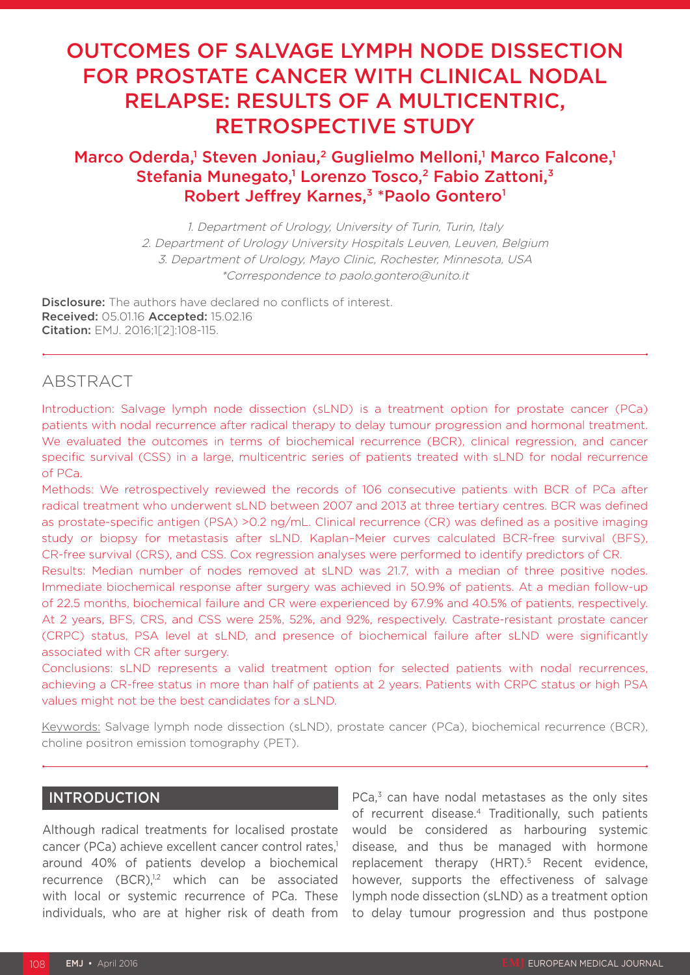# OUTCOMES OF SALVAGE LYMPH NODE DISSECTION FOR PROSTATE CANCER WITH CLINICAL NODAL RELAPSE: RESULTS OF A MULTICENTRIC, RETROSPECTIVE STUDY

# Marco Oderda,<sup>1</sup> Steven Joniau,<sup>2</sup> Guglielmo Melloni,<sup>1</sup> Marco Falcone,<sup>1</sup> Stefania Munegato,<sup>1</sup> Lorenzo Tosco,<sup>2</sup> Fabio Zattoni,<sup>3</sup> Robert Jeffrey Karnes,<sup>3</sup> \*Paolo Gontero<sup>1</sup>

1. Department of Urology, University of Turin, Turin, Italy 2. Department of Urology University Hospitals Leuven, Leuven, Belgium 3. Department of Urology, Mayo Clinic, Rochester, Minnesota, USA \*Correspondence to paolo.gontero@unito.it

**Disclosure:** The authors have declared no conflicts of interest. Received: 05.01.16 Accepted: 15.02.16 Citation: EMJ. 2016;1[2]:108-115.

# ABSTRACT

Introduction: Salvage lymph node dissection (sLND) is a treatment option for prostate cancer (PCa) patients with nodal recurrence after radical therapy to delay tumour progression and hormonal treatment. We evaluated the outcomes in terms of biochemical recurrence (BCR), clinical regression, and cancer specific survival (CSS) in a large, multicentric series of patients treated with sLND for nodal recurrence of PCa.

Methods: We retrospectively reviewed the records of 106 consecutive patients with BCR of PCa after radical treatment who underwent sLND between 2007 and 2013 at three tertiary centres. BCR was defined as prostate-specific antigen (PSA) >0.2 ng/mL. Clinical recurrence (CR) was defined as a positive imaging study or biopsy for metastasis after sLND. Kaplan–Meier curves calculated BCR-free survival (BFS), CR-free survival (CRS), and CSS. Cox regression analyses were performed to identify predictors of CR.

Results: Median number of nodes removed at sLND was 21.7, with a median of three positive nodes. Immediate biochemical response after surgery was achieved in 50.9% of patients. At a median follow-up of 22.5 months, biochemical failure and CR were experienced by 67.9% and 40.5% of patients, respectively. At 2 years, BFS, CRS, and CSS were 25%, 52%, and 92%, respectively. Castrate-resistant prostate cancer (CRPC) status, PSA level at sLND, and presence of biochemical failure after sLND were significantly associated with CR after surgery.

Conclusions: sLND represents a valid treatment option for selected patients with nodal recurrences, achieving a CR-free status in more than half of patients at 2 years. Patients with CRPC status or high PSA values might not be the best candidates for a sLND.

Keywords: Salvage lymph node dissection (sLND), prostate cancer (PCa), biochemical recurrence (BCR), choline positron emission tomography (PET).

# INTRODUCTION

Although radical treatments for localised prostate cancer (PCa) achieve excellent cancer control rates,<sup>1</sup> around 40% of patients develop a biochemical recurrence  $(BCR)^{1,2}$  which can be associated with local or systemic recurrence of PCa. These individuals, who are at higher risk of death from

PCa,<sup>3</sup> can have nodal metastases as the only sites of recurrent disease.4 Traditionally, such patients would be considered as harbouring systemic disease, and thus be managed with hormone replacement therapy (HRT).<sup>5</sup> Recent evidence, however, supports the effectiveness of salvage lymph node dissection (sLND) as a treatment option to delay tumour progression and thus postpone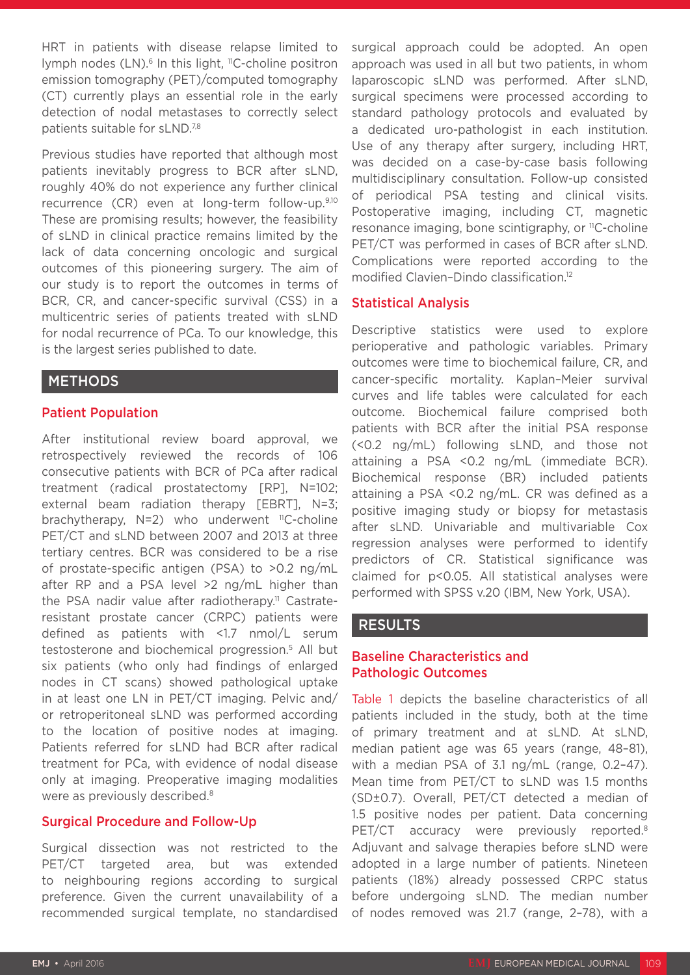HRT in patients with disease relapse limited to lymph nodes  $(LN)$ .<sup>6</sup> In this light, <sup>11</sup>C-choline positron emission tomography (PET)/computed tomography (CT) currently plays an essential role in the early detection of nodal metastases to correctly select patients suitable for sLND.7,8

Previous studies have reported that although most patients inevitably progress to BCR after sLND, roughly 40% do not experience any further clinical recurrence (CR) even at long-term follow-up.9,10 These are promising results; however, the feasibility of sLND in clinical practice remains limited by the lack of data concerning oncologic and surgical outcomes of this pioneering surgery. The aim of our study is to report the outcomes in terms of BCR, CR, and cancer-specific survival (CSS) in a multicentric series of patients treated with sLND for nodal recurrence of PCa. To our knowledge, this is the largest series published to date.

# METHODS

## Patient Population

After institutional review board approval, we retrospectively reviewed the records of 106 consecutive patients with BCR of PCa after radical treatment (radical prostatectomy [RP], N=102; external beam radiation therapy [EBRT], N=3; brachytherapy,  $N=2$ ) who underwent <sup>11</sup>C-choline PET/CT and sLND between 2007 and 2013 at three tertiary centres. BCR was considered to be a rise of prostate-specific antigen (PSA) to >0.2 ng/mL after RP and a PSA level >2 ng/mL higher than the PSA nadir value after radiotherapy.<sup>11</sup> Castrateresistant prostate cancer (CRPC) patients were defined as patients with <1.7 nmol/L serum testosterone and biochemical progression.5 All but six patients (who only had findings of enlarged nodes in CT scans) showed pathological uptake in at least one LN in PET/CT imaging. Pelvic and/ or retroperitoneal sLND was performed according to the location of positive nodes at imaging. Patients referred for sLND had BCR after radical treatment for PCa, with evidence of nodal disease only at imaging. Preoperative imaging modalities were as previously described.<sup>8</sup>

## Surgical Procedure and Follow-Up

Surgical dissection was not restricted to the PET/CT targeted area, but was extended to neighbouring regions according to surgical preference. Given the current unavailability of a recommended surgical template, no standardised surgical approach could be adopted. An open approach was used in all but two patients, in whom laparoscopic sLND was performed. After sLND, surgical specimens were processed according to standard pathology protocols and evaluated by a dedicated uro-pathologist in each institution. Use of any therapy after surgery, including HRT, was decided on a case-by-case basis following multidisciplinary consultation. Follow-up consisted of periodical PSA testing and clinical visits. Postoperative imaging, including CT, magnetic resonance imaging, bone scintigraphy, or <sup>11</sup>C-choline PET/CT was performed in cases of BCR after sLND. Complications were reported according to the modified Clavien–Dindo classification.12

## Statistical Analysis

Descriptive statistics were used to explore perioperative and pathologic variables. Primary outcomes were time to biochemical failure, CR, and cancer-specific mortality. Kaplan–Meier survival curves and life tables were calculated for each outcome. Biochemical failure comprised both patients with BCR after the initial PSA response (<0.2 ng/mL) following sLND, and those not attaining a PSA <0.2 ng/mL (immediate BCR). Biochemical response (BR) included patients attaining a PSA <0.2 ng/mL. CR was defined as a positive imaging study or biopsy for metastasis after sLND. Univariable and multivariable Cox regression analyses were performed to identify predictors of CR. Statistical significance was claimed for p<0.05. All statistical analyses were performed with SPSS v.20 (IBM, New York, USA).

## RESULTS

# Baseline Characteristics and Pathologic Outcomes

Table 1 depicts the baseline characteristics of all patients included in the study, both at the time of primary treatment and at sLND. At sLND, median patient age was 65 years (range, 48–81), with a median PSA of 3.1 ng/mL (range, 0.2–47). Mean time from PET/CT to sLND was 1.5 months (SD±0.7). Overall, PET/CT detected a median of 1.5 positive nodes per patient. Data concerning PET/CT accuracy were previously reported.<sup>8</sup> Adjuvant and salvage therapies before sLND were adopted in a large number of patients. Nineteen patients (18%) already possessed CRPC status before undergoing sLND. The median number of nodes removed was 21.7 (range, 2–78), with a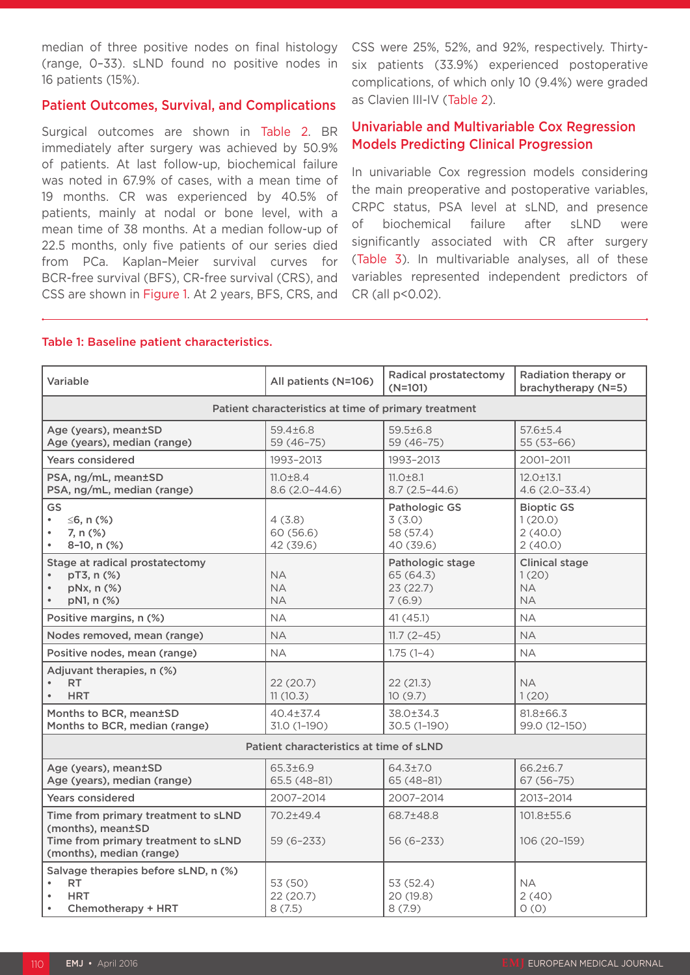median of three positive nodes on final histology (range, 0–33). sLND found no positive nodes in 16 patients (15%).

## Patient Outcomes, Survival, and Complications

Surgical outcomes are shown in Table 2. BR immediately after surgery was achieved by 50.9% of patients. At last follow-up, biochemical failure was noted in 67.9% of cases, with a mean time of 19 months. CR was experienced by 40.5% of patients, mainly at nodal or bone level, with a mean time of 38 months. At a median follow-up of 22.5 months, only five patients of our series died from PCa. Kaplan–Meier survival curves for BCR-free survival (BFS), CR-free survival (CRS), and CSS are shown in Figure 1. At 2 years, BFS, CRS, and

CSS were 25%, 52%, and 92%, respectively. Thirtysix patients (33.9%) experienced postoperative complications, of which only 10 (9.4%) were graded as Clavien III-IV (Table 2).

# Univariable and Multivariable Cox Regression Models Predicting Clinical Progression

In univariable Cox regression models considering the main preoperative and postoperative variables, CRPC status, PSA level at sLND, and presence of biochemical failure after sLND were significantly associated with CR after surgery (Table 3). In multivariable analyses, all of these variables represented independent predictors of CR (all p<0.02).

#### Table 1: Baseline patient characteristics.

| Variable                                                                                                                    | All patients (N=106)                | Radical prostatectomy<br>$(N=101)$                  | Radiation therapy or<br>brachytherapy (N=5)              |  |  |
|-----------------------------------------------------------------------------------------------------------------------------|-------------------------------------|-----------------------------------------------------|----------------------------------------------------------|--|--|
| Patient characteristics at time of primary treatment                                                                        |                                     |                                                     |                                                          |  |  |
| Age (years), mean±SD<br>Age (years), median (range)                                                                         | 59.4±6.8<br>59 (46-75)              | $59.5 \pm 6.8$<br>59 (46-75)                        | $57.6 \pm 5.4$<br>$55(53-66)$                            |  |  |
| <b>Years considered</b>                                                                                                     | 1993-2013                           | 1993-2013                                           | 2001-2011                                                |  |  |
| PSA, ng/mL, mean±SD<br>PSA, ng/mL, median (range)                                                                           | $11.0 \pm 8.4$<br>$8.6(2.0-44.6)$   | $11.0 \pm 8.1$<br>$8.7(2.5 - 44.6)$                 | $12.0 \pm 13.1$<br>$4.6(2.0 - 33.4)$                     |  |  |
| GS<br>$\leq$ 6, n (%)<br>$\bullet$<br>7, n (%)<br>8-10, n (%)                                                               | 4(3.8)<br>60 (56.6)<br>42 (39.6)    | Pathologic GS<br>3(3.0)<br>58 (57.4)<br>40 (39.6)   | <b>Bioptic GS</b><br>1(20.0)<br>2(40.0)<br>2(40.0)       |  |  |
| Stage at radical prostatectomy<br>pT3, n (%)<br>pNx, n (%)<br>pN1, n (%)                                                    | <b>NA</b><br><b>NA</b><br><b>NA</b> | Pathologic stage<br>65 (64.3)<br>23(22.7)<br>7(6.9) | <b>Clinical stage</b><br>1(20)<br><b>NA</b><br><b>NA</b> |  |  |
| Positive margins, n (%)                                                                                                     | <b>NA</b>                           | 41 (45.1)                                           | <b>NA</b>                                                |  |  |
| Nodes removed, mean (range)                                                                                                 | <b>NA</b>                           | $11.7(2-45)$                                        | <b>NA</b>                                                |  |  |
| Positive nodes, mean (range)                                                                                                | NA.                                 | $1.75(1-4)$                                         | <b>NA</b>                                                |  |  |
| Adjuvant therapies, n (%)<br><b>RT</b><br><b>HRT</b>                                                                        | 22 (20.7)<br>11(10.3)               | 22(21.3)<br>10(9.7)                                 | <b>NA</b><br>1(20)                                       |  |  |
| Months to BCR, mean±SD<br>Months to BCR, median (range)                                                                     | $40.4 \pm 37.4$<br>31.0 (1-190)     | 38.0±34.3<br>30.5 (1-190)                           | 81.8±66.3<br>99.0 (12-150)                               |  |  |
| Patient characteristics at time of sLND                                                                                     |                                     |                                                     |                                                          |  |  |
| Age (years), mean±SD<br>Age (years), median (range)                                                                         | 65.3±6.9<br>65.5 (48-81)            | $64.3{\pm}7.0$<br>$65(48-81)$                       | $66.2 \pm 6.7$<br>$67(56 - 75)$                          |  |  |
| <b>Years considered</b>                                                                                                     | 2007-2014                           | 2007-2014                                           | 2013-2014                                                |  |  |
| Time from primary treatment to sLND<br>(months), mean±SD<br>Time from primary treatment to sLND<br>(months), median (range) | 70.2±49.4<br>$59(6-233)$            | 68.7±48.8<br>56 (6–233)                             | 101.8±55.6<br>106 (20-159)                               |  |  |
| Salvage therapies before sLND, n (%)<br>RT.<br><b>HRT</b><br>Chemotherapy + HRT<br>$\bullet$                                | 53 (50)<br>22 (20.7)<br>8(7.5)      | 53 (52.4)<br>20 (19.8)<br>8(7.9)                    | NA.<br>2(40)<br>O(0)                                     |  |  |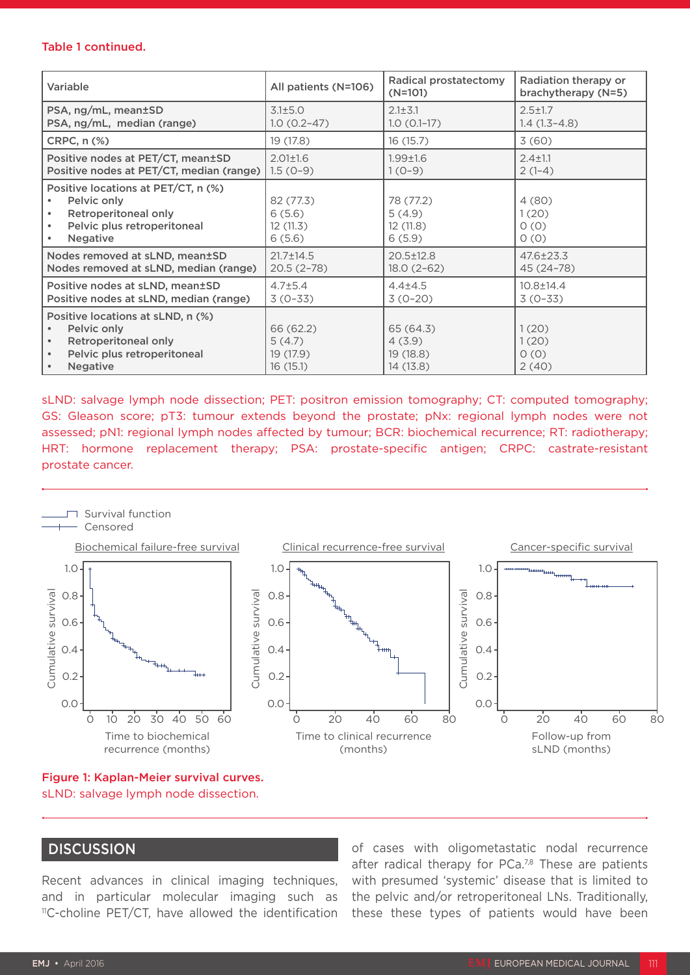#### Table 1 continued.

| Variable                                                                                                                     | All patients (N=106)                          | Radical prostatectomy<br>$(N=101)$           | Radiation therapy or<br>brachytherapy (N=5) |
|------------------------------------------------------------------------------------------------------------------------------|-----------------------------------------------|----------------------------------------------|---------------------------------------------|
| PSA, ng/mL, mean±SD                                                                                                          | 3.1±5.0                                       | $2.1 \pm 3.1$                                | $2.5 \pm 1.7$                               |
| PSA, ng/mL, median (range)                                                                                                   | $1.0(0.2-47)$                                 | $1.0 (0.1 - 17)$                             | $1.4(1.3-4.8)$                              |
| CRPC, n (%)                                                                                                                  | 19 (17.8)                                     | 16(15.7)                                     | 3(60)                                       |
| Positive nodes at PET/CT, mean±SD                                                                                            | $2.01 \pm 1.6$                                | $1.99 + 1.6$                                 | $2.4 \pm 1.1$                               |
| Positive nodes at PET/CT, median (range)                                                                                     | $1.5(0-9)$                                    | $1(0-9)$                                     | $2(1-4)$                                    |
| Positive locations at PET/CT, n (%)<br>Pelvic only<br>Retroperitoneal only<br>Pelvic plus retroperitoneal<br><b>Negative</b> | 82 (77.3)<br>6(5.6)<br>12 (11.3)<br>6(5.6)    | 78 (77.2)<br>5(4.9)<br>12(11.8)<br>6(5.9)    | 4(80)<br>1(20)<br>0(0)<br>0(0)              |
| Nodes removed at sLND, mean±SD                                                                                               | $21.7 \pm 14.5$                               | $20.5 \pm 12.8$                              | 47.6±23.3                                   |
| Nodes removed at sLND, median (range)                                                                                        | $20.5(2-78)$                                  | $18.0(2-62)$                                 | 45 (24 - 78)                                |
| Positive nodes at sLND, mean±SD                                                                                              | $4.7 \pm 5.4$                                 | $4.4 \pm 4.5$                                | $10.8 \pm 14.4$                             |
| Positive nodes at sLND, median (range)                                                                                       | $3(0-33)$                                     | $3(0-20)$                                    | $3(0-33)$                                   |
| Positive locations at sLND, n (%)<br>Pelvic only<br>Retroperitoneal only<br>Pelvic plus retroperitoneal<br><b>Negative</b>   | 66 (62.2)<br>5(4.7)<br>19 (17.9)<br>16 (15.1) | 65 (64.3)<br>4(3.9)<br>19(18.8)<br>14 (13.8) | 1(20)<br>1(20)<br>0(0)<br>2(40)             |

sLND: salvage lymph node dissection; PET: positron emission tomography; CT: computed tomography; GS: Gleason score; pT3: tumour extends beyond the prostate; pNx: regional lymph nodes were not assessed; pN1: regional lymph nodes affected by tumour; BCR: biochemical recurrence; RT: radiotherapy; HRT: hormone replacement therapy; PSA: prostate-specific antigen; CRPC: castrate-resistant prostate cancer.



Figure 1: Kaplan-Meier survival curves. sLND: salvage lymph node dissection.

## **DISCUSSION**

Recent advances in clinical imaging techniques, and in particular molecular imaging such as <sup>11</sup>C-choline PET/CT, have allowed the identification

of cases with oligometastatic nodal recurrence after radical therapy for  $PCa^{7,8}$  These are patients with presumed 'systemic' disease that is limited to the pelvic and/or retroperitoneal LNs. Traditionally, these these types of patients would have been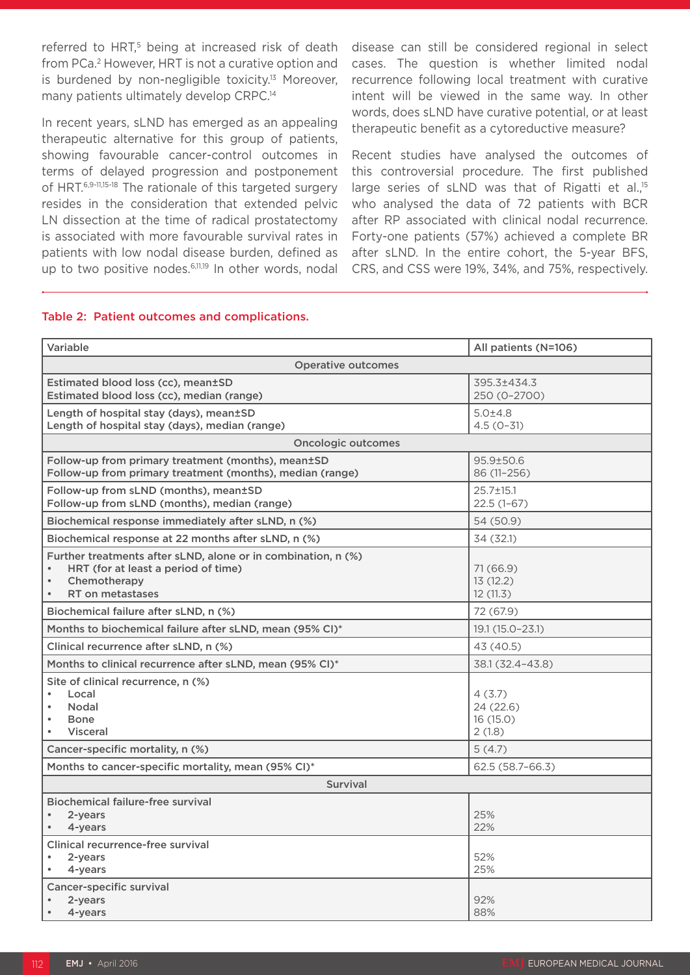referred to HRT,<sup>5</sup> being at increased risk of death from PCa.2 However, HRT is not a curative option and is burdened by non-negligible toxicity.<sup>13</sup> Moreover, many patients ultimately develop CRPC.<sup>14</sup>

In recent years, sLND has emerged as an appealing therapeutic alternative for this group of patients, showing favourable cancer-control outcomes in terms of delayed progression and postponement of HRT.6,9-11,15-18 The rationale of this targeted surgery resides in the consideration that extended pelvic LN dissection at the time of radical prostatectomy is associated with more favourable survival rates in patients with low nodal disease burden, defined as up to two positive nodes.<sup>6,11,19</sup> In other words, nodal disease can still be considered regional in select cases. The question is whether limited nodal recurrence following local treatment with curative intent will be viewed in the same way. In other words, does sLND have curative potential, or at least therapeutic benefit as a cytoreductive measure?

Recent studies have analysed the outcomes of this controversial procedure. The first published large series of sLND was that of Rigatti et al.<sup>15</sup> who analysed the data of 72 patients with BCR after RP associated with clinical nodal recurrence. Forty-one patients (57%) achieved a complete BR after sLND. In the entire cohort, the 5-year BFS, CRS, and CSS were 19%, 34%, and 75%, respectively.

#### Table 2: Patient outcomes and complications.

| Variable                                                                                                                                              | All patients (N=106)                     |  |  |  |
|-------------------------------------------------------------------------------------------------------------------------------------------------------|------------------------------------------|--|--|--|
| <b>Operative outcomes</b>                                                                                                                             |                                          |  |  |  |
| Estimated blood loss (cc), mean±SD<br>Estimated blood loss (cc), median (range)                                                                       | 395.3±434.3<br>250 (0-2700)              |  |  |  |
| Length of hospital stay (days), mean±SD<br>Length of hospital stay (days), median (range)                                                             | 5.0±4.8<br>$4.5(0-31)$                   |  |  |  |
| <b>Oncologic outcomes</b>                                                                                                                             |                                          |  |  |  |
| Follow-up from primary treatment (months), mean±SD<br>Follow-up from primary treatment (months), median (range)                                       | $95.9 \pm 50.6$<br>86 (11-256)           |  |  |  |
| Follow-up from sLND (months), mean±SD<br>Follow-up from sLND (months), median (range)                                                                 | 25.7±15.1<br>$22.5(1-67)$                |  |  |  |
| Biochemical response immediately after sLND, n (%)                                                                                                    | 54 (50.9)                                |  |  |  |
| Biochemical response at 22 months after sLND, n (%)                                                                                                   | 34 (32.1)                                |  |  |  |
| Further treatments after sLND, alone or in combination, n (%)<br>HRT (for at least a period of time)<br>Chemotherapy<br>$\bullet$<br>RT on metastases | 71 (66.9)<br>13(12.2)<br>12(11.3)        |  |  |  |
| Biochemical failure after sLND, n (%)                                                                                                                 | 72 (67.9)                                |  |  |  |
| Months to biochemical failure after sLND, mean (95% CI)*                                                                                              | 19.1 (15.0-23.1)                         |  |  |  |
| Clinical recurrence after sLND, n (%)                                                                                                                 | 43 (40.5)                                |  |  |  |
| Months to clinical recurrence after sLND, mean (95% CI)*                                                                                              | 38.1 (32.4-43.8)                         |  |  |  |
| Site of clinical recurrence, n (%)<br>Local<br>Nodal<br><b>Bone</b><br><b>Visceral</b>                                                                | 4(3.7)<br>24(22.6)<br>16(15.0)<br>2(1.8) |  |  |  |
| Cancer-specific mortality, n (%)                                                                                                                      | 5(4.7)                                   |  |  |  |
| Months to cancer-specific mortality, mean (95% CI)*                                                                                                   | 62.5 (58.7-66.3)                         |  |  |  |
| Survival                                                                                                                                              |                                          |  |  |  |
| <b>Biochemical failure-free survival</b><br>2-years<br>4-years                                                                                        | 25%<br>22%                               |  |  |  |
| Clinical recurrence-free survival<br>2-years<br>4-years                                                                                               | 52%<br>25%                               |  |  |  |
| <b>Cancer-specific survival</b><br>2-years<br>4-years                                                                                                 | 92%<br>88%                               |  |  |  |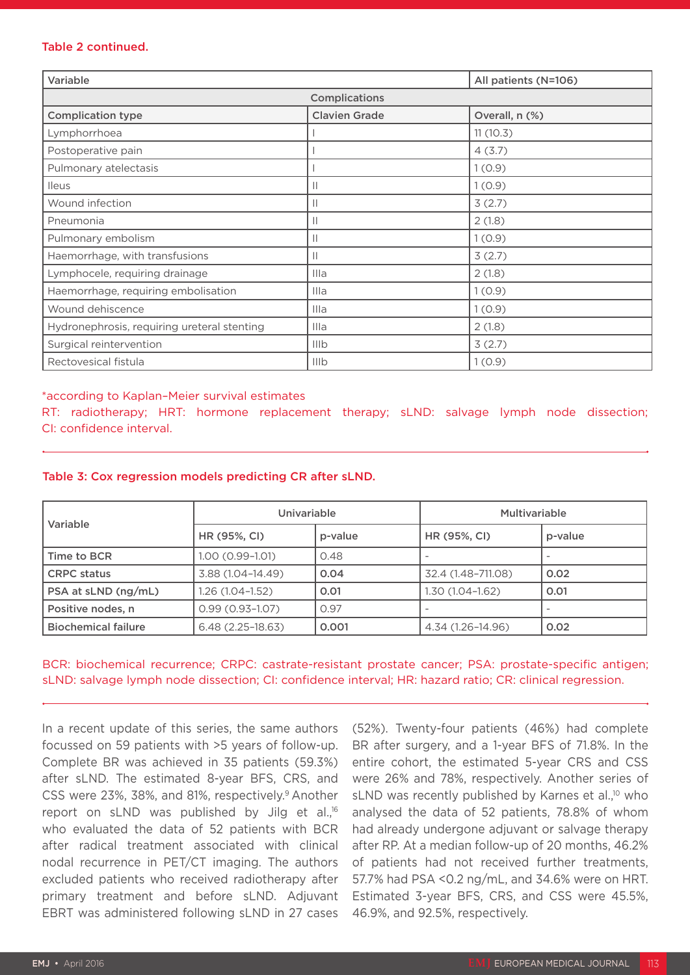#### Table 2 continued.

| Variable                                    |                      | All patients (N=106) |  |  |
|---------------------------------------------|----------------------|----------------------|--|--|
| Complications                               |                      |                      |  |  |
| <b>Complication type</b>                    | <b>Clavien Grade</b> | Overall, n (%)       |  |  |
| Lymphorrhoea                                |                      | 11(10.3)             |  |  |
| Postoperative pain                          |                      | 4(3.7)               |  |  |
| Pulmonary atelectasis                       |                      | 1(0.9)               |  |  |
| <b>Ileus</b>                                | $\mathbb{I}$         | 1(0.9)               |  |  |
| Wound infection                             |                      | 3(2.7)               |  |  |
| Pneumonia                                   | $\mathbb{I}$         | 2(1.8)               |  |  |
| Pulmonary embolism                          | $\mathbb{I}$         | 1(0.9)               |  |  |
| Haemorrhage, with transfusions              |                      | 3(2.7)               |  |  |
| Lymphocele, requiring drainage              | Illa                 | 2(1.8)               |  |  |
| Haemorrhage, requiring embolisation         | Illa                 | 1(0.9)               |  |  |
| Wound dehiscence                            | Illa                 | 1(0.9)               |  |  |
| Hydronephrosis, requiring ureteral stenting | Illa                 | 2(1.8)               |  |  |
| Surgical reintervention                     | IIIb                 | 3(2.7)               |  |  |
| Rectovesical fistula                        | IIIb                 | 1(0.9)               |  |  |

#### \*according to Kaplan–Meier survival estimates

RT: radiotherapy; HRT: hormone replacement therapy; sLND: salvage lymph node dissection; CI: confidence interval.

| Variable                   | Univariable         |         | <b>Multivariable</b>     |         |
|----------------------------|---------------------|---------|--------------------------|---------|
|                            | HR (95%, CI)        | p-value | HR (95%, CI)             | p-value |
| Time to BCR                | $1.00(0.99 - 1.01)$ | 0.48    |                          |         |
| <b>CRPC</b> status         | 3.88 (1.04-14.49)   | 0.04    | 32.4 (1.48-711.08)       | 0.02    |
| PSA at sLND (ng/mL)        | $1.26(1.04-1.52)$   | 0.01    | 1.30 (1.04–1.62)         | 0.01    |
| Positive nodes, n          | $0.99(0.93 - 1.07)$ | 0.97    | $\overline{\phantom{a}}$ |         |
| <b>Biochemical failure</b> | $6.48(2.25-18.63)$  | 0.001   | 4.34 (1.26-14.96)        | 0.02    |

#### Table 3: Cox regression models predicting CR after sLND.

BCR: biochemical recurrence; CRPC: castrate-resistant prostate cancer; PSA: prostate-specific antigen; sLND: salvage lymph node dissection; CI: confidence interval; HR: hazard ratio; CR: clinical regression.

In a recent update of this series, the same authors focussed on 59 patients with >5 years of follow-up. Complete BR was achieved in 35 patients (59.3%) after sLND. The estimated 8-year BFS, CRS, and CSS were 23%, 38%, and 81%, respectively.<sup>9</sup> Another report on sLND was published by Jilg et al.,16 who evaluated the data of 52 patients with BCR after radical treatment associated with clinical nodal recurrence in PET/CT imaging. The authors excluded patients who received radiotherapy after primary treatment and before sLND. Adjuvant EBRT was administered following sLND in 27 cases

(52%). Twenty-four patients (46%) had complete BR after surgery, and a 1-year BFS of 71.8%. In the entire cohort, the estimated 5-year CRS and CSS were 26% and 78%, respectively. Another series of sLND was recently published by Karnes et al.<sup>10</sup> who analysed the data of 52 patients, 78.8% of whom had already undergone adjuvant or salvage therapy after RP. At a median follow-up of 20 months, 46.2% of patients had not received further treatments, 57.7% had PSA <0.2 ng/mL, and 34.6% were on HRT. Estimated 3-year BFS, CRS, and CSS were 45.5%, 46.9%, and 92.5%, respectively.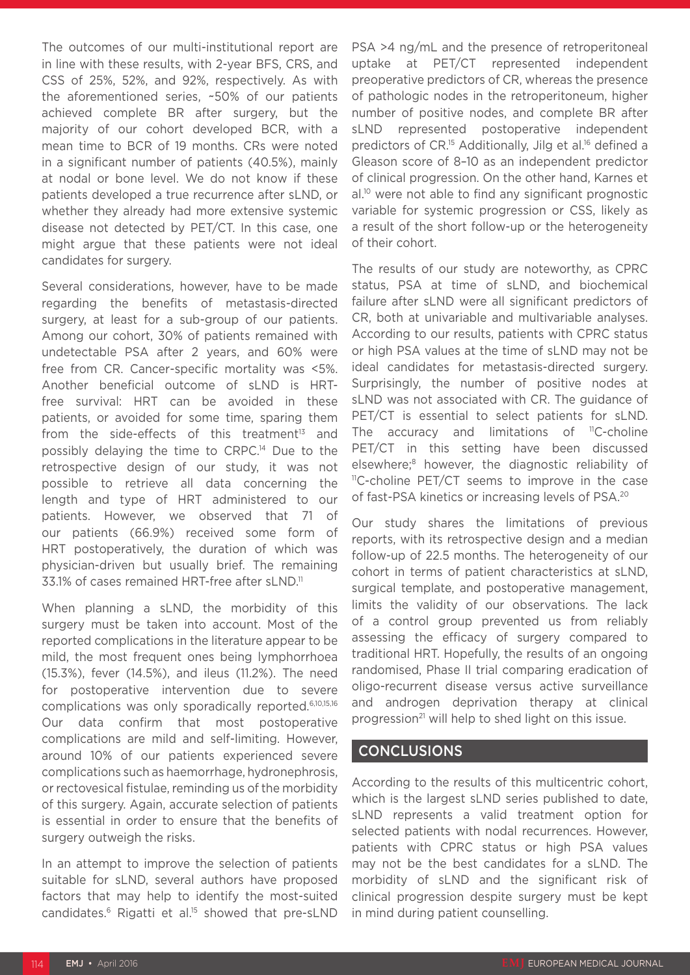The outcomes of our multi-institutional report are in line with these results, with 2-year BFS, CRS, and CSS of 25%, 52%, and 92%, respectively. As with the aforementioned series, ~50% of our patients achieved complete BR after surgery, but the majority of our cohort developed BCR, with a mean time to BCR of 19 months. CRs were noted in a significant number of patients (40.5%), mainly at nodal or bone level. We do not know if these patients developed a true recurrence after sLND, or whether they already had more extensive systemic disease not detected by PET/CT. In this case, one might argue that these patients were not ideal candidates for surgery.

Several considerations, however, have to be made regarding the benefits of metastasis-directed surgery, at least for a sub-group of our patients. Among our cohort, 30% of patients remained with undetectable PSA after 2 years, and 60% were free from CR. Cancer-specific mortality was <5%. Another beneficial outcome of sLND is HRTfree survival: HRT can be avoided in these patients, or avoided for some time, sparing them from the side-effects of this treatment $13$  and possibly delaying the time to CRPC.<sup>14</sup> Due to the retrospective design of our study, it was not possible to retrieve all data concerning the length and type of HRT administered to our patients. However, we observed that 71 of our patients (66.9%) received some form of HRT postoperatively, the duration of which was physician-driven but usually brief. The remaining 33.1% of cases remained HRT-free after sLND.<sup>11</sup>

When planning a sLND, the morbidity of this surgery must be taken into account. Most of the reported complications in the literature appear to be mild, the most frequent ones being lymphorrhoea (15.3%), fever (14.5%), and ileus (11.2%). The need for postoperative intervention due to severe complications was only sporadically reported.6,10,15,16 Our data confirm that most postoperative complications are mild and self-limiting. However, around 10% of our patients experienced severe complications such as haemorrhage, hydronephrosis, or rectovesical fistulae, reminding us of the morbidity of this surgery. Again, accurate selection of patients is essential in order to ensure that the benefits of surgery outweigh the risks.

In an attempt to improve the selection of patients suitable for sLND, several authors have proposed factors that may help to identify the most-suited candidates.<sup>6</sup> Rigatti et al.<sup>15</sup> showed that pre-sLND

PSA >4 ng/mL and the presence of retroperitoneal uptake at PET/CT represented independent preoperative predictors of CR, whereas the presence of pathologic nodes in the retroperitoneum, higher number of positive nodes, and complete BR after sLND represented postoperative independent predictors of CR.<sup>15</sup> Additionally, Jilg et al.<sup>16</sup> defined a Gleason score of 8–10 as an independent predictor of clinical progression. On the other hand, Karnes et al.10 were not able to find any significant prognostic variable for systemic progression or CSS, likely as a result of the short follow-up or the heterogeneity of their cohort.

The results of our study are noteworthy, as CPRC status, PSA at time of sLND, and biochemical failure after sLND were all significant predictors of CR, both at univariable and multivariable analyses. According to our results, patients with CPRC status or high PSA values at the time of sLND may not be ideal candidates for metastasis-directed surgery. Surprisingly, the number of positive nodes at sLND was not associated with CR. The guidance of PET/CT is essential to select patients for sLND. The accuracy and limitations of  ${}^{11}C$ -choline PET/CT in this setting have been discussed elsewhere;8 however, the diagnostic reliability of <sup>11</sup>C-choline PET/CT seems to improve in the case of fast-PSA kinetics or increasing levels of PSA.20

Our study shares the limitations of previous reports, with its retrospective design and a median follow-up of 22.5 months. The heterogeneity of our cohort in terms of patient characteristics at sLND, surgical template, and postoperative management, limits the validity of our observations. The lack of a control group prevented us from reliably assessing the efficacy of surgery compared to traditional HRT. Hopefully, the results of an ongoing randomised, Phase II trial comparing eradication of oligo-recurrent disease versus active surveillance and androgen deprivation therapy at clinical progression<sup>21</sup> will help to shed light on this issue.

## CONCLUSIONS

According to the results of this multicentric cohort, which is the largest sLND series published to date, sLND represents a valid treatment option for selected patients with nodal recurrences. However, patients with CPRC status or high PSA values may not be the best candidates for a sLND. The morbidity of sLND and the significant risk of clinical progression despite surgery must be kept in mind during patient counselling.